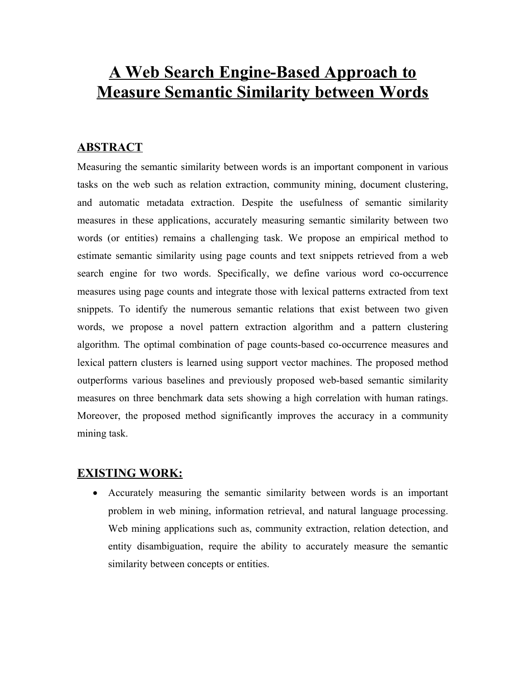# **A Web Search Engine-Based Approach to Measure Semantic Similarity between Words**

## **ABSTRACT**

Measuring the semantic similarity between words is an important component in various tasks on the web such as relation extraction, community mining, document clustering, and automatic metadata extraction. Despite the usefulness of semantic similarity measures in these applications, accurately measuring semantic similarity between two words (or entities) remains a challenging task. We propose an empirical method to estimate semantic similarity using page counts and text snippets retrieved from a web search engine for two words. Specifically, we define various word co-occurrence measures using page counts and integrate those with lexical patterns extracted from text snippets. To identify the numerous semantic relations that exist between two given words, we propose a novel pattern extraction algorithm and a pattern clustering algorithm. The optimal combination of page counts-based co-occurrence measures and lexical pattern clusters is learned using support vector machines. The proposed method outperforms various baselines and previously proposed web-based semantic similarity measures on three benchmark data sets showing a high correlation with human ratings. Moreover, the proposed method significantly improves the accuracy in a community mining task.

## **EXISTING WORK:**

· Accurately measuring the semantic similarity between words is an important problem in web mining, information retrieval, and natural language processing. Web mining applications such as, community extraction, relation detection, and entity disambiguation, require the ability to accurately measure the semantic similarity between concepts or entities.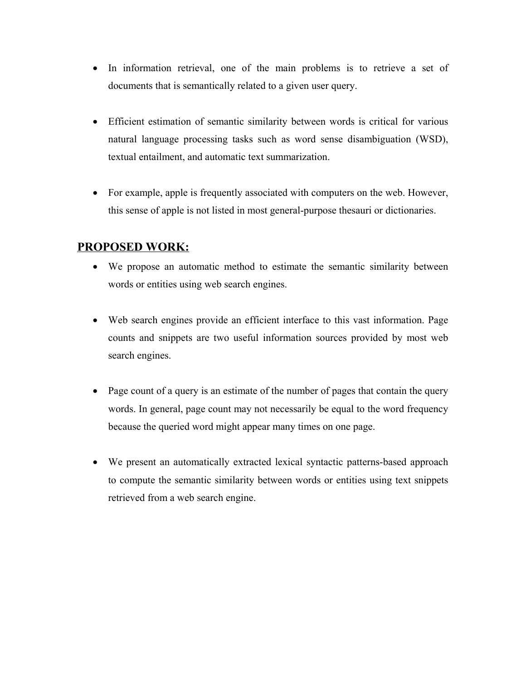- In information retrieval, one of the main problems is to retrieve a set of documents that is semantically related to a given user query.
- · Efficient estimation of semantic similarity between words is critical for various natural language processing tasks such as word sense disambiguation (WSD), textual entailment, and automatic text summarization.
- · For example, apple is frequently associated with computers on the web. However, this sense of apple is not listed in most general-purpose thesauri or dictionaries.

## **PROPOSED WORK:**

- · We propose an automatic method to estimate the semantic similarity between words or entities using web search engines.
- · Web search engines provide an efficient interface to this vast information. Page counts and snippets are two useful information sources provided by most web search engines.
- Page count of a query is an estimate of the number of pages that contain the query words. In general, page count may not necessarily be equal to the word frequency because the queried word might appear many times on one page.
- · We present an automatically extracted lexical syntactic patterns-based approach to compute the semantic similarity between words or entities using text snippets retrieved from a web search engine.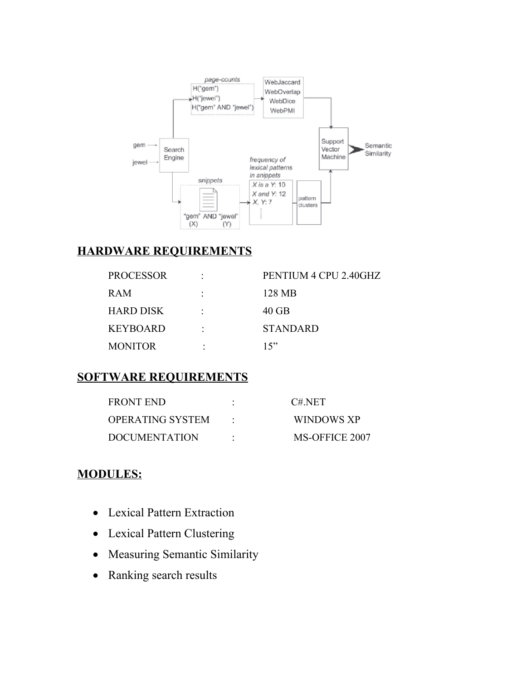

# **HARDWARE REQUIREMENTS**

| <b>PROCESSOR</b> | PENTIUM 4 CPU 2.40GHZ |
|------------------|-----------------------|
| <b>RAM</b>       | 128 MB                |
| <b>HARD DISK</b> | 40 GB                 |
| <b>KEYBOARD</b>  | <b>STANDARD</b>       |
| <b>MONITOR</b>   | 15                    |

# **SOFTWARE REQUIREMENTS**

| <b>FRONT END</b>        | C#NET          |
|-------------------------|----------------|
| <b>OPERATING SYSTEM</b> | WINDOWS XP     |
| <b>DOCUMENTATION</b>    | MS-OFFICE 2007 |

# **MODULES:**

- · Lexical Pattern Extraction
- · Lexical Pattern Clustering
- · Measuring Semantic Similarity
- Ranking search results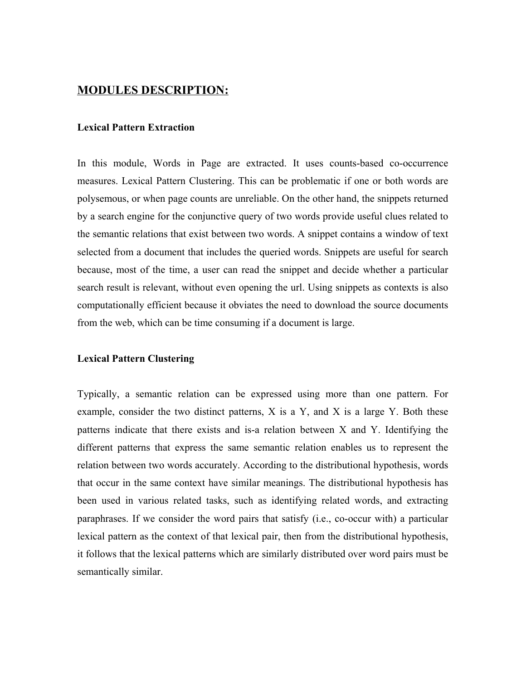## **MODULES DESCRIPTION:**

### **Lexical Pattern Extraction**

In this module, Words in Page are extracted. It uses counts-based co-occurrence measures. Lexical Pattern Clustering. This can be problematic if one or both words are polysemous, or when page counts are unreliable. On the other hand, the snippets returned by a search engine for the conjunctive query of two words provide useful clues related to the semantic relations that exist between two words. A snippet contains a window of text selected from a document that includes the queried words. Snippets are useful for search because, most of the time, a user can read the snippet and decide whether a particular search result is relevant, without even opening the url. Using snippets as contexts is also computationally efficient because it obviates the need to download the source documents from the web, which can be time consuming if a document is large.

#### **Lexical Pattern Clustering**

Typically, a semantic relation can be expressed using more than one pattern. For example, consider the two distinct patterns,  $X$  is a  $Y$ , and  $X$  is a large  $Y$ . Both these patterns indicate that there exists and is-a relation between X and Y. Identifying the different patterns that express the same semantic relation enables us to represent the relation between two words accurately. According to the distributional hypothesis, words that occur in the same context have similar meanings. The distributional hypothesis has been used in various related tasks, such as identifying related words, and extracting paraphrases. If we consider the word pairs that satisfy (i.e., co-occur with) a particular lexical pattern as the context of that lexical pair, then from the distributional hypothesis, it follows that the lexical patterns which are similarly distributed over word pairs must be semantically similar.